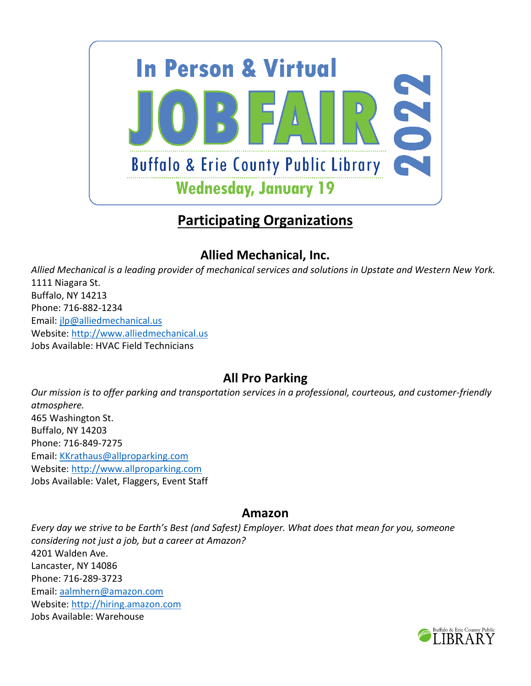

# **Participating Organizations**

## **Allied Mechanical, Inc.**

*Allied Mechanical is a leading provider of mechanical services and solutions in Upstate and Western New York.* 1111 Niagara St. Buffalo, NY 14213 Phone: 716-882-1234 Email: [jlp@alliedmechanical.us](mailto:jlp@alliedmechanical.us) Website: [http://www.alliedmechanical.us](http://www.alliedmechanical.us/) Jobs Available: HVAC Field Technicians

## **All Pro Parking**

*Our mission is to offer parking and transportation services in a professional, courteous, and customer-friendly atmosphere.* 465 Washington St. Buffalo, NY 14203 Phone: 716-849-7275 Email: [KKrathaus@allproparking.com](mailto:KKrathaus@allproparking.com) Website: [http://www.allproparking.com](http://www.allproparking.com/) Jobs Available: Valet, Flaggers, Event Staff

#### **Amazon**

*Every day we strive to be Earth's Best (and Safest) Employer. What does that mean for you, someone considering not just a job, but a career at Amazon?*  4201 Walden Ave. Lancaster, NY 14086 Phone: 716-289-3723 Email: [aalmhern@amazon.com](mailto:aalmhern@amazon.com) Website: [http://hiring.amazon.com](http://hiring.amazon.com/) Jobs Available: Warehouse

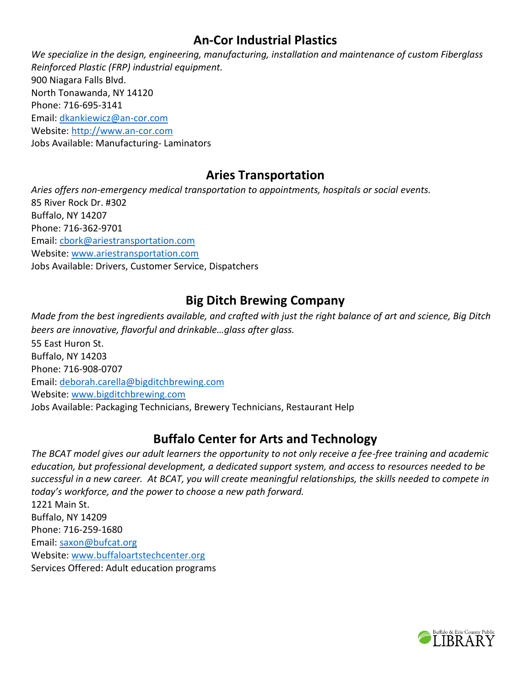### **An-Cor Industrial Plastics**

*We specialize in the design, engineering, manufacturing, installation and maintenance of custom Fiberglass Reinforced Plastic (FRP) industrial equipment.*  900 Niagara Falls Blvd. North Tonawanda, NY 14120 Phone: 716-695-3141 Email: [dkankiewicz@an-cor.com](mailto:dkankiewicz@an-cor.com) Website: [http://www.an-cor.com](http://www.an-cor.com/) Jobs Available: Manufacturing- Laminators

#### **Aries Transportation**

*Aries offers non-emergency medical transportation to appointments, hospitals or social events.*  85 River Rock Dr. #302 Buffalo, NY 14207 Phone: 716-362-9701 Email: [cbork@ariestransportation.com](mailto:cbork@ariestransportation.com) Website: [www.ariestransportation.com](http://www.ariestransportation.com/) Jobs Available: Drivers, Customer Service, Dispatchers

### **Big Ditch Brewing Company**

*Made from the best ingredients available, and crafted with just the right balance of art and science, Big Ditch beers are innovative, flavorful and drinkable…glass after glass.* 55 East Huron St. Buffalo, NY 14203 Phone: 716-908-0707 Email: [deborah.carella@bigditchbrewing.com](mailto:deborah.carella@bigditchbrewing.com) Website: [www.bigditchbrewing.com](http://www.bigditchbrewing.com/) Jobs Available: Packaging Technicians, Brewery Technicians, Restaurant Help

### **Buffalo Center for Arts and Technology**

*The BCAT model gives our adult learners the opportunity to not only receive a fee-free training and academic education, but professional development, a dedicated support system, and access to resources needed to be successful in a new career. At BCAT, you will create meaningful relationships, the skills needed to compete in today's workforce, and the power to choose a new path forward.*

1221 Main St. Buffalo, NY 14209 Phone: 716-259-1680 Email: [saxon@bufcat.org](mailto:saxon@bufcat.org) Website: [www.buffaloartstechcenter.org](http://www.buffaloartstechcenter.org/) Services Offered: Adult education programs

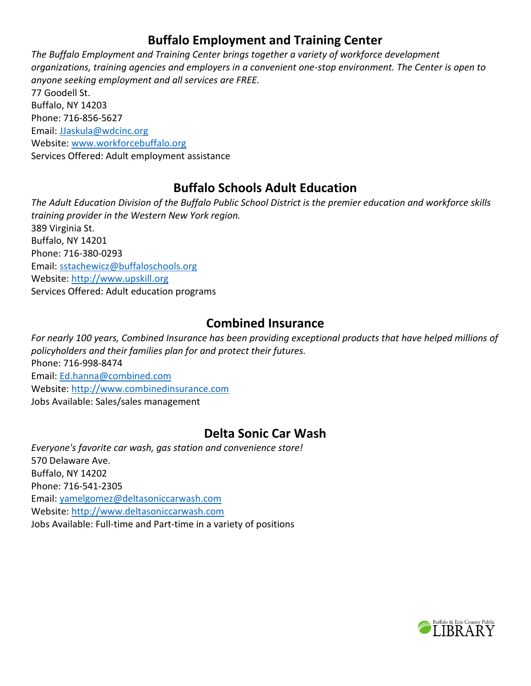## **Buffalo Employment and Training Center**

*The Buffalo Employment and Training Center brings together a variety of workforce development organizations, training agencies and employers in a convenient one-stop environment. The Center is open to anyone seeking employment and all services are FREE.* 77 Goodell St.

Buffalo, NY 14203 Phone: 716-856-5627 Email: [JJaskula@wdcinc.org](mailto:JJaskula@wdcinc.org) Website: [www.workforcebuffalo.org](http://www.workforcebuffalo.org/) Services Offered: Adult employment assistance

### **Buffalo Schools Adult Education**

*The Adult Education Division of the Buffalo Public School District is the premier education and workforce skills training provider in the Western New York region.* 389 Virginia St. Buffalo, NY 14201 Phone: 716-380-0293 Email: [sstachewicz@buffaloschools.org](mailto:sstachewicz@buffaloschools.org) Website: [http://www.upskill.org](http://www.upskill.org/) Services Offered: Adult education programs

#### **Combined Insurance**

*For nearly 100 years, Combined Insurance has been providing exceptional products that have helped millions of policyholders and their families plan for and protect their futures.* Phone: 716-998-8474 Email: [Ed.hanna@combined.com](mailto:Ed.hanna@combined.com) Website: [http://www.combinedinsurance.com](http://www.combinedinsurance.com/) Jobs Available: Sales/sales management

### **Delta Sonic Car Wash**

*Everyone's favorite car wash, gas station and convenience store!* 570 Delaware Ave. Buffalo, NY 14202 Phone: 716-541-2305 Email: [yamelgomez@deltasoniccarwash.com](mailto:yamelgomez@deltasoniccarwash.com) Website: [http://www.deltasoniccarwash.com](http://www.deltasoniccarwash.com/) Jobs Available: Full-time and Part-time in a variety of positions

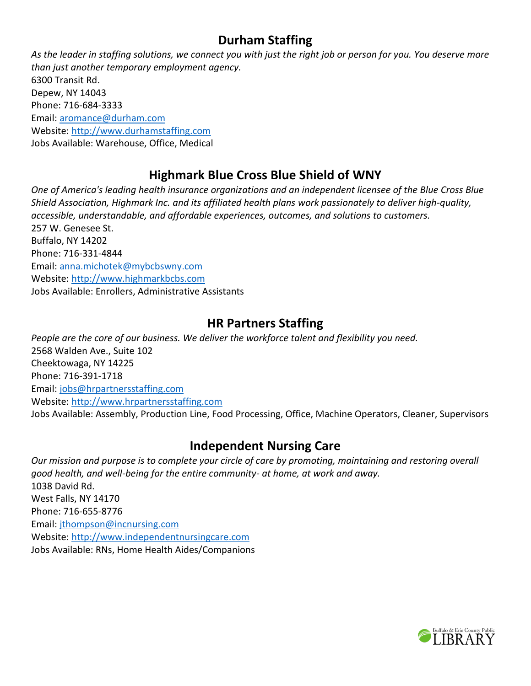### **Durham Staffing**

*As the leader in staffing solutions, we connect you with just the right job or person for you. You deserve more than just another temporary employment agency.* 6300 Transit Rd. Depew, NY 14043 Phone: 716-684-3333 Email: [aromance@durham.com](mailto:aromance@durham.com) Website: [http://www.durhamstaffing.com](http://www.durhamstaffing.com/) Jobs Available: Warehouse, Office, Medical

## **Highmark Blue Cross Blue Shield of WNY**

*One of America's leading health insurance organizations and an independent licensee of the Blue Cross Blue Shield Association, Highmark Inc. and its affiliated health plans work passionately to deliver high-quality, accessible, understandable, and affordable experiences, outcomes, and solutions to customers.* 257 W. Genesee St. Buffalo, NY 14202 Phone: 716-331-4844 Email: [anna.michotek@mybcbswny.com](mailto:anna.michotek@mybcbswny.com) Website: [http://www.highmarkbcbs.com](http://www.highmarkbcbs.com/) Jobs Available: Enrollers, Administrative Assistants

#### **HR Partners Staffing**

*People are the core of our business. We deliver the workforce talent and flexibility you need.* 2568 Walden Ave., Suite 102 Cheektowaga, NY 14225 Phone: 716-391-1718 Email: [jobs@hrpartnersstaffing.com](mailto:jobs@hrpartnersstaffing.com) Website: [http://www.hrpartnersstaffing.com](http://www.hrpartnersstaffing.com/) Jobs Available: Assembly, Production Line, Food Processing, Office, Machine Operators, Cleaner, Supervisors

### **Independent Nursing Care**

*Our mission and purpose is to complete your circle of care by promoting, maintaining and restoring overall good health, and well-being for the entire community- at home, at work and away.* 1038 David Rd. West Falls, NY 14170 Phone: 716-655-8776 Email: [jthompson@incnursing.com](mailto:jthompson@incnursing.com) Website: [http://www.independentnursingcare.com](http://www.independentnursingcare.com/) Jobs Available: RNs, Home Health Aides/Companions

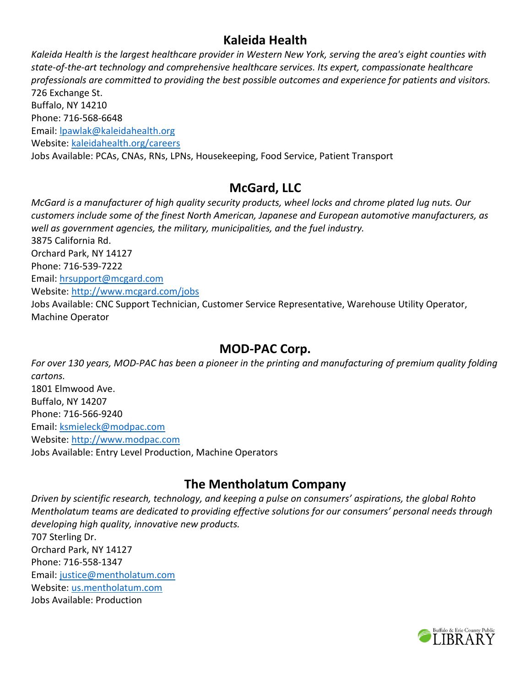### **Kaleida Health**

*Kaleida Health is the largest healthcare provider in Western New York, serving the area's eight counties with state-of-the-art technology and comprehensive healthcare services. Its expert, compassionate healthcare professionals are committed to providing the best possible outcomes and experience for patients and visitors.* 726 Exchange St. Buffalo, NY 14210 Phone: 716-568-6648 Email: [lpawlak@kaleidahealth.org](mailto:lpawlak@kaleidahealth.org) Website: [kaleidahealth.org/careers](http://kaleidahealth.org/careers) Jobs Available: PCAs, CNAs, RNs, LPNs, Housekeeping, Food Service, Patient Transport

#### **McGard, LLC**

*McGard is a manufacturer of high quality security products, wheel locks and chrome plated lug nuts. Our customers include some of the finest North American, Japanese and European automotive manufacturers, as well as government agencies, the military, municipalities, and the fuel industry.* 3875 California Rd. Orchard Park, NY 14127 Phone: 716-539-7222 Email: [hrsupport@mcgard.com](mailto:hrsupport@mcgard.com) Website:<http://www.mcgard.com/jobs> Jobs Available: CNC Support Technician, Customer Service Representative, Warehouse Utility Operator, Machine Operator

#### **MOD-PAC Corp.**

*For over 130 years, MOD-PAC has been a pioneer in the printing and manufacturing of premium quality folding cartons.* 1801 Elmwood Ave. Buffalo, NY 14207 Phone: 716-566-9240 Email: [ksmieleck@modpac.com](mailto:ksmieleck@modpac.com) Website: [http://www.modpac.com](http://www.modpac.com/) Jobs Available: Entry Level Production, Machine Operators

### **The Mentholatum Company**

*Driven by scientific research, technology, and keeping a pulse on consumers' aspirations, the global Rohto Mentholatum teams are dedicated to providing effective solutions for our consumers' personal needs through developing high quality, innovative new products.* 707 Sterling Dr. Orchard Park, NY 14127 Phone: 716-558-1347 Email: [justice@mentholatum.com](mailto:justice@mentholatum.com) Website: [us.mentholatum.com](http://us.mentholatum.com/) Jobs Available: Production

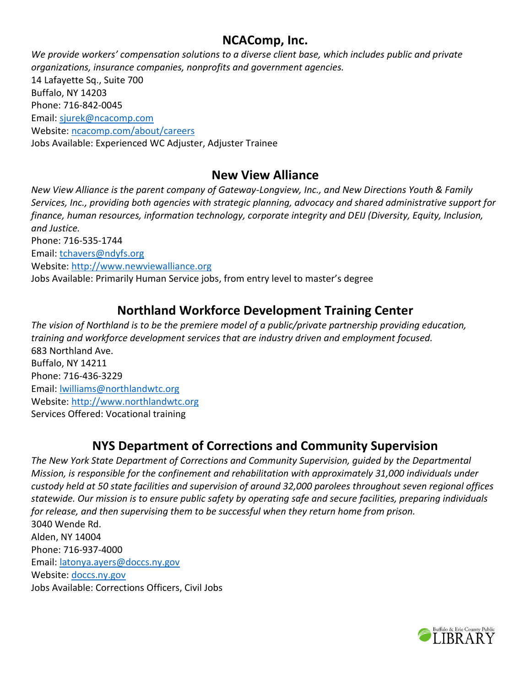#### **NCAComp, Inc.**

*We provide workers' compensation solutions to a diverse client base, which includes public and private organizations, insurance companies, nonprofits and government agencies.* 14 Lafayette Sq., Suite 700 Buffalo, NY 14203 Phone: 716-842-0045 Email: [sjurek@ncacomp.com](mailto:sjurek@ncacomp.com) Website: [ncacomp.com/about/careers](http://ncacomp.com/about/careers) Jobs Available: Experienced WC Adjuster, Adjuster Trainee

#### **New View Alliance**

*New View Alliance is the parent company of Gateway-Longview, Inc., and New Directions Youth & Family Services, Inc., providing both agencies with strategic planning, advocacy and shared administrative support for finance, human resources, information technology, corporate integrity and DEIJ (Diversity, Equity, Inclusion, and Justice.* Phone: 716-535-1744 Email: [tchavers@ndyfs.org](mailto:tchavers@ndyfs.org) Website: [http://www.newviewalliance.org](http://www.newviewalliance.org/)

Jobs Available: Primarily Human Service jobs, from entry level to master's degree

### **Northland Workforce Development Training Center**

*The vision of Northland is to be the premiere model of a public/private partnership providing education, training and workforce development services that are industry driven and employment focused.* 683 Northland Ave. Buffalo, NY 14211 Phone: 716-436-3229 Email: [lwilliams@northlandwtc.org](mailto:lwilliams@northlandwtc.org) Website: [http://www.northlandwtc.org](http://www.northlandwtc.org/) Services Offered: Vocational training

### **NYS Department of Corrections and Community Supervision**

*The New York State Department of Corrections and Community Supervision, guided by the Departmental Mission, is responsible for the confinement and rehabilitation with approximately 31,000 individuals under custody held at 50 state facilities and supervision of around 32,000 parolees throughout seven regional offices statewide. Our mission is to ensure public safety by operating safe and secure facilities, preparing individuals for release, and then supervising them to be successful when they return home from prison.* 3040 Wende Rd. Alden, NY 14004 Phone: 716-937-4000 Email: [latonya.ayers@doccs.ny.gov](mailto:latonya.ayers@doccs.ny.gov) Website: [doccs.ny.gov](http://doccs.ny.gov/) Jobs Available: Corrections Officers, Civil Jobs

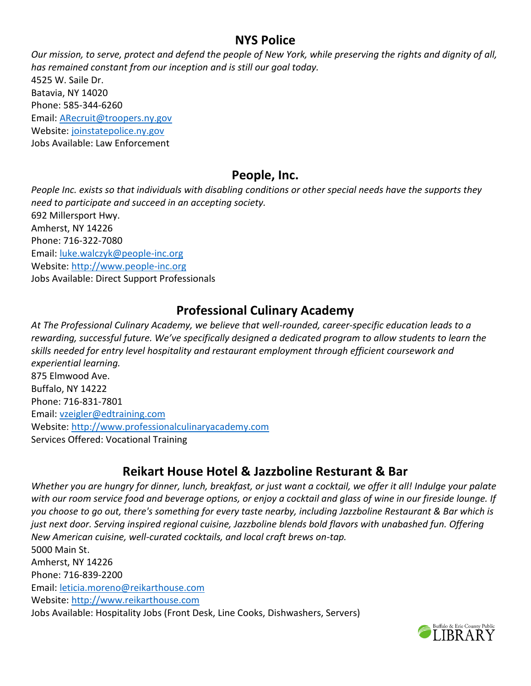#### **NYS Police**

*Our mission, to serve, protect and defend the people of New York, while preserving the rights and dignity of all, has remained constant from our inception and is still our goal today.*  4525 W. Saile Dr. Batavia, NY 14020 Phone: 585-344-6260 Email: [ARecruit@troopers.ny.gov](mailto:ARecruit@troopers.ny.gov) Website: [joinstatepolice.ny.gov](http://joinstatepolice.ny.gov/) Jobs Available: Law Enforcement

#### **People, Inc.**

*People Inc. exists so that individuals with disabling conditions or other special needs have the supports they need to participate and succeed in an accepting society.* 692 Millersport Hwy. Amherst, NY 14226 Phone: 716-322-7080 Email: [luke.walczyk@people-inc.org](mailto:luke.walczyk@people-inc.org) Website: [http://www.people-inc.org](http://www.people-inc.org/) Jobs Available: Direct Support Professionals

## **Professional Culinary Academy**

*At The Professional Culinary Academy, we believe that well-rounded, career-specific education leads to a rewarding, successful future. We've specifically designed a dedicated program to allow students to learn the skills needed for entry level hospitality and restaurant employment through efficient coursework and experiential learning.* 875 Elmwood Ave. Buffalo, NY 14222 Phone: 716-831-7801 Email: [vzeigler@edtraining.com](mailto:vzeigler@edtraining.com) Website: [http://www.professionalculinaryacademy.com](http://www.professionalculinaryacademy.com/) Services Offered: Vocational Training

### **Reikart House Hotel & Jazzboline Resturant & Bar**

*Whether you are hungry for dinner, lunch, breakfast, or just want a cocktail, we offer it all! Indulge your palate with our room service food and beverage options, or enjoy a cocktail and glass of wine in our fireside lounge. If you choose to go out, there's something for every taste nearby, including Jazzboline Restaurant & Bar which is just next door. Serving inspired regional cuisine, Jazzboline blends bold flavors with unabashed fun. Offering New American cuisine, well-curated cocktails, and local craft brews on-tap.*  5000 Main St. Amherst, NY 14226 Phone: 716-839-2200 Email: [leticia.moreno@reikarthouse.com](mailto:leticia.moreno@reikarthouse.com) Website: [http://www.reikarthouse.com](http://www.reikarthouse.com/) Jobs Available: Hospitality Jobs (Front Desk, Line Cooks, Dishwashers, Servers)

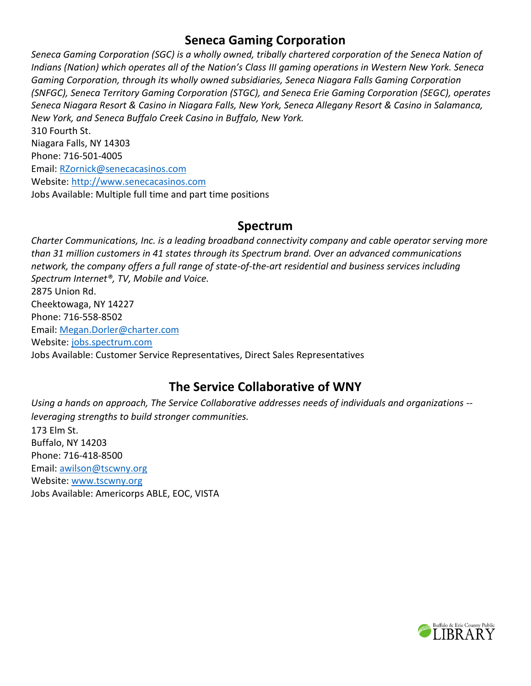#### **Seneca Gaming Corporation**

*Seneca Gaming Corporation (SGC) is a wholly owned, tribally chartered corporation of the Seneca Nation of Indians (Nation) which operates all of the Nation's Class III gaming operations in Western New York. Seneca Gaming Corporation, through its wholly owned subsidiaries, Seneca Niagara Falls Gaming Corporation (SNFGC), Seneca Territory Gaming Corporation (STGC), and Seneca Erie Gaming Corporation (SEGC), operates Seneca Niagara Resort & Casino in Niagara Falls, New York, Seneca Allegany Resort & Casino in Salamanca, New York, and Seneca Buffalo Creek Casino in Buffalo, New York.* 310 Fourth St.

Niagara Falls, NY 14303 Phone: 716-501-4005 Email: [RZornick@senecacasinos.com](mailto:RZornick@senecacasinos.com) Website: [http://www.senecacasinos.com](http://www.senecacasinos.com/) Jobs Available: Multiple full time and part time positions

#### **Spectrum**

*Charter Communications, Inc. is a leading broadband connectivity company and cable operator serving more than 31 million customers in 41 states through its Spectrum brand. Over an advanced communications network, the company offers a full range of state-of-the-art residential and business services including Spectrum Internet®, TV, Mobile and Voice.* 2875 Union Rd. Cheektowaga, NY 14227 Phone: 716-558-8502 Email: [Megan.Dorler@charter.com](mailto:Megan.Dorler@charter.com) Website: [jobs.spectrum.com](http://jobs.spectrum.com/) Jobs Available: Customer Service Representatives, Direct Sales Representatives

## **The Service Collaborative of WNY**

*Using a hands on approach, The Service Collaborative addresses needs of individuals and organizations - leveraging strengths to build stronger communities.* 173 Elm St. Buffalo, NY 14203 Phone: 716-418-8500 Email: [awilson@tscwny.org](mailto:awilson@tscwny.org) Website: [www.tscwny.org](http://www.tscwny.org/) Jobs Available: Americorps ABLE, EOC, VISTA